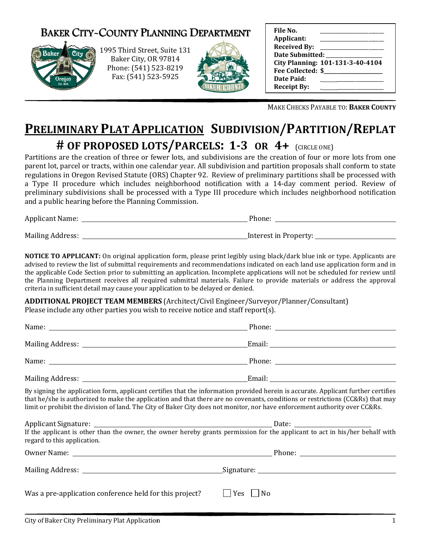## BAKER CITY-COUNTY PLANNING DEPARTMENT



1995 Third Street Street, Suite 131 Baker City, OR 97814 Phone: (541) 523 (541) 523-8219 Fax: (541) 523 523-5925



| File No.<br>Applicant:<br><b>Received By:</b><br>Date Submitted:<br>Fee Collected: \$<br>Date Paid: | City Planning: 101-131-3-40-4104 |  |
|-----------------------------------------------------------------------------------------------------|----------------------------------|--|
| <b>Receipt By:</b>                                                                                  |                                  |  |

MAKE CHECKS PAYABLE TO: BAKER COUNTY

# PRELIMINARY PLAT APPLICATION SUBDIVISION/PARTITION/REPLAT # OF PROPOSED LOTS/PARCELS:  $1-3$  OR  $4+$  (circle one)

| and a public hearing before the Planning Commission. |                       |  |  |  |
|------------------------------------------------------|-----------------------|--|--|--|
| <b>Applicant Name:</b>                               | Phone:                |  |  |  |
| Mailing Address:                                     | Interest in Property: |  |  |  |

|                                                                                   | MAKE CHECKS PAYABLE TO: BAKER COUNTY                                                                                                                                                                                                                                                                                                                                                                                                                                                                                                                                                        |
|-----------------------------------------------------------------------------------|---------------------------------------------------------------------------------------------------------------------------------------------------------------------------------------------------------------------------------------------------------------------------------------------------------------------------------------------------------------------------------------------------------------------------------------------------------------------------------------------------------------------------------------------------------------------------------------------|
|                                                                                   | <b>PRELIMINARY PLAT APPLICATION SUBDIVISION/PARTITION/REPLAT</b>                                                                                                                                                                                                                                                                                                                                                                                                                                                                                                                            |
|                                                                                   | # OF PROPOSED LOTS/PARCELS: 1-3 OR 4+ (CIRCLE ONE)                                                                                                                                                                                                                                                                                                                                                                                                                                                                                                                                          |
| and a public hearing before the Planning Commission.                              | Partitions are the creation of three or fewer lots, and subdivisions are the creation of four or more lots from one<br>parent lot, parcel or tracts, within one calendar year. All subdivision and partition proposals shall conform to state<br>regulations in Oregon Revised Statute (ORS) Chapter 92. Review of preliminary partitions shall be processed with<br>a Type II procedure which includes neighborhood notification with a 14-day comment period. Review of<br>preliminary subdivisions shall be processed with a Type III procedure which includes neighborhood notification |
|                                                                                   |                                                                                                                                                                                                                                                                                                                                                                                                                                                                                                                                                                                             |
|                                                                                   |                                                                                                                                                                                                                                                                                                                                                                                                                                                                                                                                                                                             |
| criteria in sufficient detail may cause your application to be delayed or denied. | NOTICE TO APPLICANT: On original application form, please print legibly using black/dark blue ink or type. Applicants are<br>advised to review the list of submittal requirements and recommendations indicated on each land use application form and in<br>the applicable Code Section prior to submitting an application. Incomplete applications will not be scheduled for review until<br>the Planning Department receives all required submittal materials. Failure to provide materials or address the approval                                                                       |
|                                                                                   | <b>ADDITIONAL PROJECT TEAM MEMBERS</b> (Architect/Civil Engineer/Surveyor/Planner/Consultant)                                                                                                                                                                                                                                                                                                                                                                                                                                                                                               |
| Please include any other parties you wish to receive notice and staff report(s).  |                                                                                                                                                                                                                                                                                                                                                                                                                                                                                                                                                                                             |
|                                                                                   |                                                                                                                                                                                                                                                                                                                                                                                                                                                                                                                                                                                             |
|                                                                                   |                                                                                                                                                                                                                                                                                                                                                                                                                                                                                                                                                                                             |
|                                                                                   |                                                                                                                                                                                                                                                                                                                                                                                                                                                                                                                                                                                             |
|                                                                                   |                                                                                                                                                                                                                                                                                                                                                                                                                                                                                                                                                                                             |
|                                                                                   | By signing the application form, applicant certifies that the information provided herein is accurate. Applicant further certifies<br>that he/she is authorized to make the application and that there are no covenants, conditions or restrictions (CC&Rs) that may<br>limit or prohibit the division of land. The City of Baker City does not monitor, nor have enforcement authority over CC&Rs.                                                                                                                                                                                         |
| regard to this application.                                                       | If the applicant is other than the owner, the owner hereby grants permission for the applicant to act in his/her behalf with                                                                                                                                                                                                                                                                                                                                                                                                                                                                |
|                                                                                   |                                                                                                                                                                                                                                                                                                                                                                                                                                                                                                                                                                                             |
|                                                                                   |                                                                                                                                                                                                                                                                                                                                                                                                                                                                                                                                                                                             |
| Was a pre-application conference held for this project?                           | $\Box$ Yes $\Box$ No                                                                                                                                                                                                                                                                                                                                                                                                                                                                                                                                                                        |
| City of Baker City Preliminary Plat Application                                   | $\mathbf{1}$                                                                                                                                                                                                                                                                                                                                                                                                                                                                                                                                                                                |

|                                                                                                                                                             | Date: $\frac{1}{\sqrt{1-\frac{1}{2}}}\frac{1}{\sqrt{1-\frac{1}{2}}}\frac{1}{\sqrt{1-\frac{1}{2}}}\frac{1}{\sqrt{1-\frac{1}{2}}}\frac{1}{\sqrt{1-\frac{1}{2}}}\frac{1}{\sqrt{1-\frac{1}{2}}}\frac{1}{\sqrt{1-\frac{1}{2}}}\frac{1}{\sqrt{1-\frac{1}{2}}}\frac{1}{\sqrt{1-\frac{1}{2}}}\frac{1}{\sqrt{1-\frac{1}{2}}}\frac{1}{\sqrt{1-\frac{1}{2}}}\frac{1}{\sqrt{1-\frac{1}{2}}}\frac{1}{\sqrt{1-\frac{1}{2}}}\frac{1}{\$ |  |  |  |  |
|-------------------------------------------------------------------------------------------------------------------------------------------------------------|--------------------------------------------------------------------------------------------------------------------------------------------------------------------------------------------------------------------------------------------------------------------------------------------------------------------------------------------------------------------------------------------------------------------------|--|--|--|--|
| If the applicant is other than the owner, the owner hereby grants permission for the applicant to act in his/her behalf with<br>regard to this application. |                                                                                                                                                                                                                                                                                                                                                                                                                          |  |  |  |  |
|                                                                                                                                                             | Phone: $\frac{1}{\sqrt{1-\frac{1}{2}}}\left\{ \frac{1}{2}, \frac{1}{2}, \frac{1}{2}, \frac{1}{2}\right\}$                                                                                                                                                                                                                                                                                                                |  |  |  |  |
|                                                                                                                                                             |                                                                                                                                                                                                                                                                                                                                                                                                                          |  |  |  |  |
| Was a pre-application conference held for this project?                                                                                                     | $\Box$ Yes $\Box$ No                                                                                                                                                                                                                                                                                                                                                                                                     |  |  |  |  |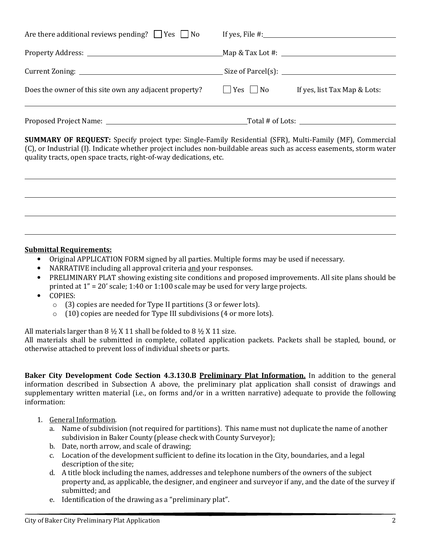| Does the owner of this site own any adjacent property?     | $\Box$ Yes $\Box$ No | If yes, list Tax Map & Lots:       |
|------------------------------------------------------------|----------------------|------------------------------------|
|                                                            |                      | Size of Parcel(s): $\qquad \qquad$ |
|                                                            |                      |                                    |
| Are there additional reviews pending? $\Box$ Yes $\Box$ No |                      | If yes, File $\#$ :                |

SUMMARY OF REQUEST: Specify project type: Single-Family Residential (SFR), Multi-Family (MF), Commercial (C), or Industrial (I). Indicate whether project includes non-buildable areas such as access easements, storm water quality tracts, open space tracts, right-of-way dedications, etc.

#### Submittal Requirements:

- Original APPLICATION FORM signed by all parties. Multiple forms may be used if necessary.
- NARRATIVE including all approval criteria and your responses.
- PRELIMINARY PLAT showing existing site conditions and proposed improvements. All site plans should be printed at 1" = 20' scale; 1:40 or 1:100 scale may be used for very large projects.
- COPIES:

 $\overline{a}$ 

- o (3) copies are needed for Type II partitions (3 or fewer lots).
- o (10) copies are needed for Type III subdivisions (4 or more lots).

All materials larger than  $8 \frac{1}{2}$  X 11 shall be folded to  $8 \frac{1}{2}$  X 11 size.

All materials shall be submitted in complete, collated application packets. Packets shall be stapled, bound, or otherwise attached to prevent loss of individual sheets or parts.

Baker City Development Code Section 4.3.130.B Preliminary Plat Information. In addition to the general information described in Subsection A above, the preliminary plat application shall consist of drawings and supplementary written material (i.e., on forms and/or in a written narrative) adequate to provide the following information:

- 1. General Information.
	- a. Name of subdivision (not required for partitions). This name must not duplicate the name of another subdivision in Baker County (please check with County Surveyor);
	- b. Date, north arrow, and scale of drawing;
	- c. Location of the development sufficient to define its location in the City, boundaries, and a legal description of the site;
	- d. A title block including the names, addresses and telephone numbers of the owners of the subject property and, as applicable, the designer, and engineer and surveyor if any, and the date of the survey if submitted; and
	- e. Identification of the drawing as a "preliminary plat".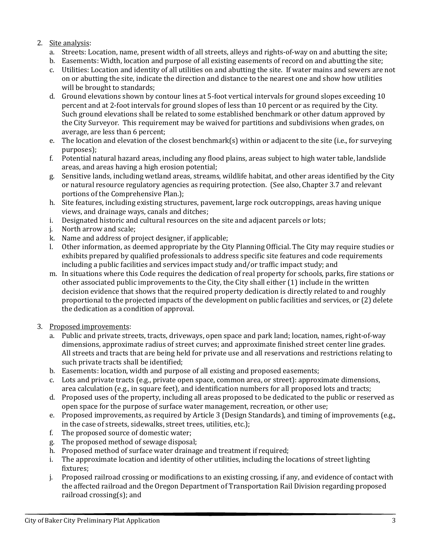### 2. Site analysis:

- a. Streets: Location, name, present width of all streets, alleys and rights-of-way on and abutting the site;
- b. Easements: Width, location and purpose of all existing easements of record on and abutting the site;
- c. Utilities: Location and identity of all utilities on and abutting the site. If water mains and sewers are not on or abutting the site, indicate the direction and distance to the nearest one and show how utilities will be brought to standards;
- d. Ground elevations shown by contour lines at 5-foot vertical intervals for ground slopes exceeding 10 percent and at 2-foot intervals for ground slopes of less than 10 percent or as required by the City. Such ground elevations shall be related to some established benchmark or other datum approved by the City Surveyor. This requirement may be waived for partitions and subdivisions when grades, on average, are less than 6 percent;
- e. The location and elevation of the closest benchmark(s) within or adjacent to the site (i.e., for surveying purposes);
- f. Potential natural hazard areas, including any flood plains, areas subject to high water table, landslide areas, and areas having a high erosion potential;
- g. Sensitive lands, including wetland areas, streams, wildlife habitat, and other areas identified by the City or natural resource regulatory agencies as requiring protection. (See also, Chapter 3.7 and relevant portions of the Comprehensive Plan.);
- h. Site features, including existing structures, pavement, large rock outcroppings, areas having unique views, and drainage ways, canals and ditches;
- i. Designated historic and cultural resources on the site and adjacent parcels or lots;
- j. North arrow and scale;
- k. Name and address of project designer, if applicable;
- l. Other information, as deemed appropriate by the City Planning Official. The City may require studies or exhibits prepared by qualified professionals to address specific site features and code requirements including a public facilities and services impact study and/or traffic impact study; and
- m. In situations where this Code requires the dedication of real property for schools, parks, fire stations or other associated public improvements to the City, the City shall either (1) include in the written decision evidence that shows that the required property dedication is directly related to and roughly proportional to the projected impacts of the development on public facilities and services, or (2) delete the dedication as a condition of approval.
- 3. Proposed improvements:
	- a. Public and private streets, tracts, driveways, open space and park land; location, names, right-of-way dimensions, approximate radius of street curves; and approximate finished street center line grades. All streets and tracts that are being held for private use and all reservations and restrictions relating to such private tracts shall be identified;
	- b. Easements: location, width and purpose of all existing and proposed easements;
	- c. Lots and private tracts (e.g., private open space, common area, or street): approximate dimensions, area calculation (e.g., in square feet), and identification numbers for all proposed lots and tracts;
	- d. Proposed uses of the property, including all areas proposed to be dedicated to the public or reserved as open space for the purpose of surface water management, recreation, or other use;
	- e. Proposed improvements, as required by Article 3 (Design Standards), and timing of improvements (e.g., in the case of streets, sidewalks, street trees, utilities, etc.);
	- f. The proposed source of domestic water;
	- g. The proposed method of sewage disposal;
	- h. Proposed method of surface water drainage and treatment if required;
	- i. The approximate location and identity of other utilities, including the locations of street lighting fixtures;
	- j. Proposed railroad crossing or modifications to an existing crossing, if any, and evidence of contact with the affected railroad and the Oregon Department of Transportation Rail Division regarding proposed railroad crossing(s); and